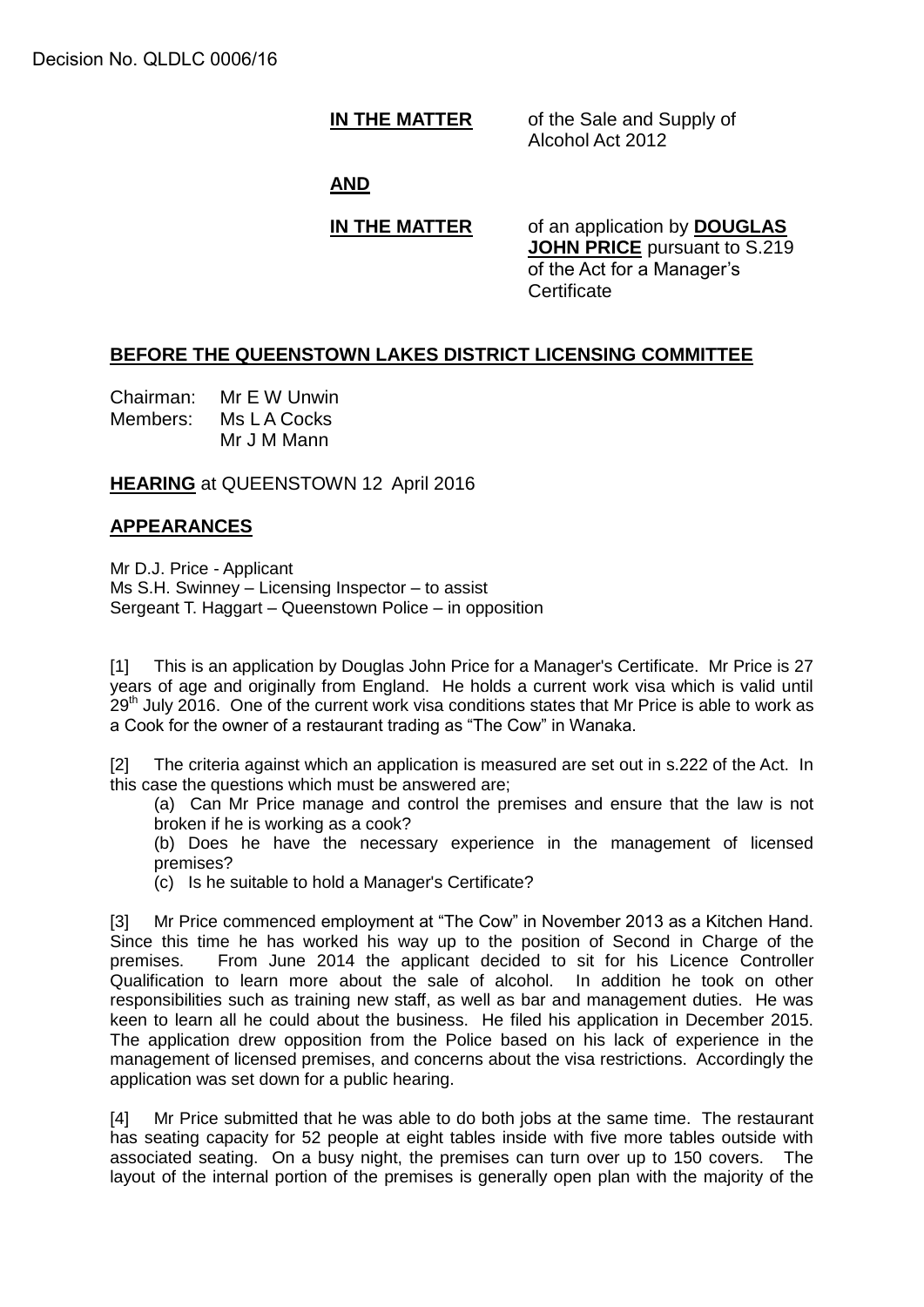**IN THE MATTER** of the Sale and Supply of Alcohol Act 2012

## **AND**

**IN THE MATTER** of an application by **DOUGLAS JOHN PRICE** pursuant to S.219 of the Act for a Manager's **Certificate** 

### **BEFORE THE QUEENSTOWN LAKES DISTRICT LICENSING COMMITTEE**

Chairman: Mr E W Unwin Members: Ms L A Cocks Mr J M Mann

**HEARING** at QUEENSTOWN 12 April 2016

# **APPEARANCES**

Mr D.J. Price - Applicant Ms S.H. Swinney – Licensing Inspector – to assist Sergeant T. Haggart – Queenstown Police – in opposition

[1] This is an application by Douglas John Price for a Manager's Certificate. Mr Price is 27 years of age and originally from England. He holds a current work visa which is valid until  $29<sup>th</sup>$  July 2016. One of the current work visa conditions states that Mr Price is able to work as a Cook for the owner of a restaurant trading as "The Cow" in Wanaka.

[2] The criteria against which an application is measured are set out in s.222 of the Act. In this case the questions which must be answered are;

(a) Can Mr Price manage and control the premises and ensure that the law is not broken if he is working as a cook?

(b) Does he have the necessary experience in the management of licensed premises?

(c) Is he suitable to hold a Manager's Certificate?

[3] Mr Price commenced employment at "The Cow" in November 2013 as a Kitchen Hand. Since this time he has worked his way up to the position of Second in Charge of the premises. From June 2014 the applicant decided to sit for his Licence Controller Qualification to learn more about the sale of alcohol. In addition he took on other responsibilities such as training new staff, as well as bar and management duties. He was keen to learn all he could about the business. He filed his application in December 2015. The application drew opposition from the Police based on his lack of experience in the management of licensed premises, and concerns about the visa restrictions. Accordingly the application was set down for a public hearing.

[4] Mr Price submitted that he was able to do both jobs at the same time. The restaurant has seating capacity for 52 people at eight tables inside with five more tables outside with associated seating. On a busy night, the premises can turn over up to 150 covers. The layout of the internal portion of the premises is generally open plan with the majority of the